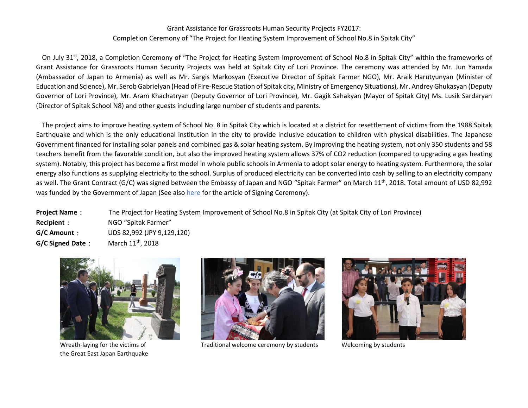## Grant Assistance for Grassroots Human Security Projects FY2017: Completion Ceremony of "The Project for Heating System Improvement of School No.8 in Spitak City"

On July 31<sup>st</sup>, 2018, a Completion Ceremony of "The Project for Heating System Improvement of School No.8 in Spitak City" within the frameworks of Grant Assistance for Grassroots Human Security Projects was held at Spitak City of Lori Province. The ceremony was attended by Mr. Jun Yamada (Ambassador of Japan to Armenia) as well as Mr. Sargis Markosyan (Executive Director of Spitak Farmer NGO), Mr. Araik Harutyunyan (Minister of Education and Science), Mr. Serob Gabrielyan (Head of Fire-Rescue Station of Spitak city, Ministry of Emergency Situations), Mr. Andrey Ghukasyan (Deputy Governor of Lori Province), Mr. Aram Khachatryan (Deputy Governor of Lori Province), Mr. Gagik Sahakyan (Mayor of Spitak City) Ms. Lusik Sardaryan (Director of Spitak School N8) and other guests including large number of students and parents.

The project aims to improve heating system of School No. 8 in Spitak City which is located at a district for resettlement of victims from the 1988 Spitak Earthquake and which is the only educational institution in the city to provide inclusive education to children with physical disabilities. The Japanese Government financed for installing solar panels and combined gas & solar heating system. By improving the heating system, not only 350 students and 58 teachers benefit from the favorable condition, but also the improved heating system allows 37% of CO2 reduction (compared to upgrading a gas heating system). Notably, this project has become a first model in whole public schools in Armenia to adopt solar energy to heating system. Furthermore, the solar energy also functions as supplying electricity to the school. Surplus of produced electricity can be converted into cash by selling to an electricity company as well. The Grant Contract (G/C) was signed between the Embassy of Japan and NGO "Spitak Farmer" on March 11<sup>th</sup>, 2018. Total amount of USD 82,992 was funded by the Government of Japan (See also here for the article of Signing Ceremony).

**Project Name**: The Project for Heating System Improvement of School No.8 in Spitak City (at Spitak City of Lori Province) **Recipient**: NGO "Spitak Farmer" **G/C Amount**: UDS 82,992 (JPY 9,129,120) **G/C Signed Date:** March 11<sup>th</sup>, 2018



the Great East Japan Earthquake



Wreath-laying for the victims of Traditional welcome ceremony by students Welcoming by students